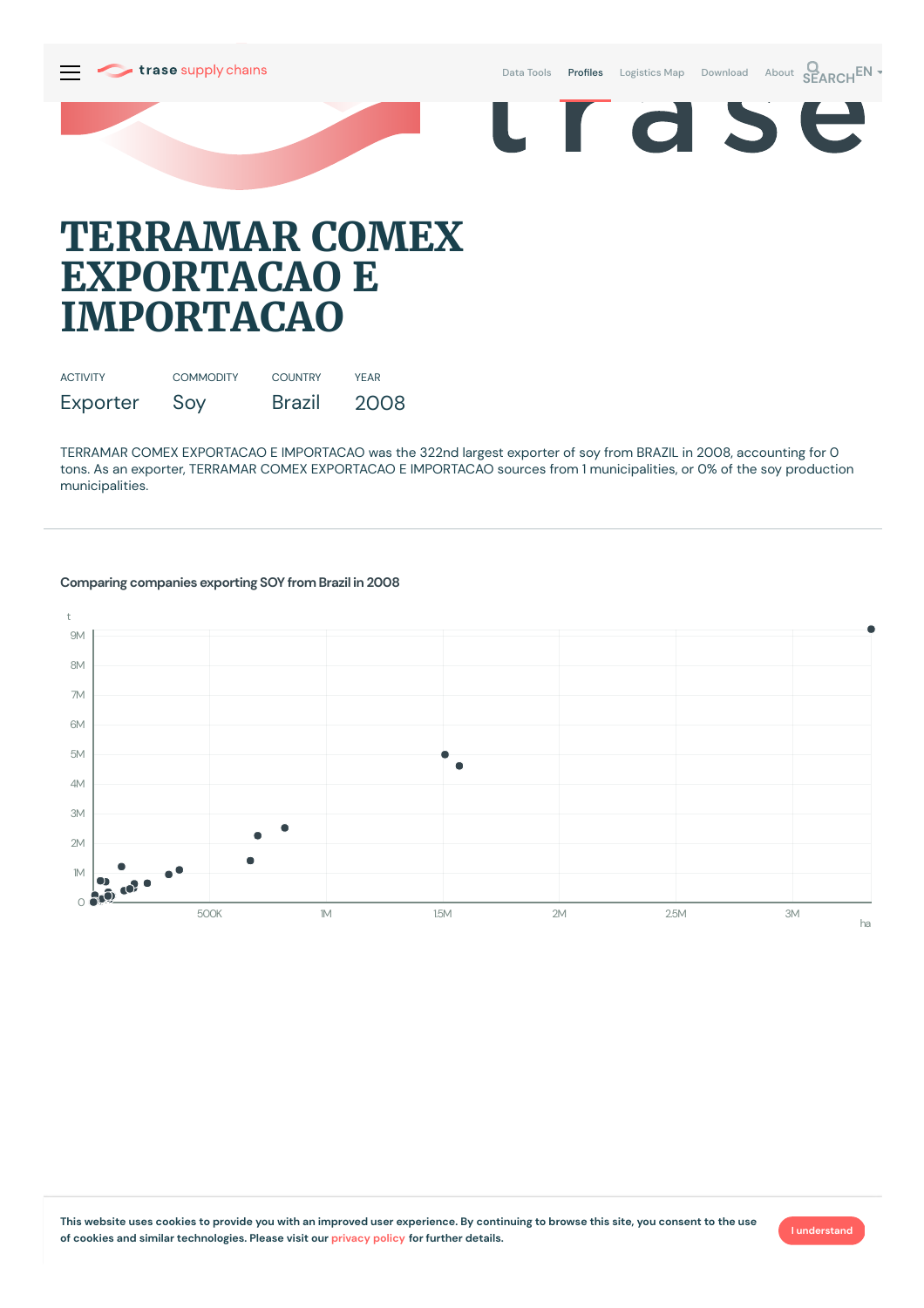

Data [Tools](https://supplychains.trase.earth/explore) **Profiles** [Logistics](https://supplychains.trase.earth/logistics-map) Map [Download](https://supplychains.trase.earth/data) [About](https://supplychains.trase.earth/about) **SEARCH<sup>EN</sup>** 





# **TERRAMAR COMEX EXPORTACAO E IMPORTACAO**

| <b>ACTIVITY</b> | <b>COMMODITY</b> | <b>COUNTRY</b> | YFAR |
|-----------------|------------------|----------------|------|
| Exporter        | Soy              | <b>Brazil</b>  | 2008 |

TERRAMAR COMEX EXPORTACAO E IMPORTACAO was the 322nd largest exporter of soy from BRAZIL in 2008, accounting for 0 tons. As an exporter, TERRAMAR COMEX EXPORTACAO E IMPORTACAO sources from 1 municipalities, or 0% of the soy production municipalities.



# **Comparing companies exporting SOY from Brazil in 2008**